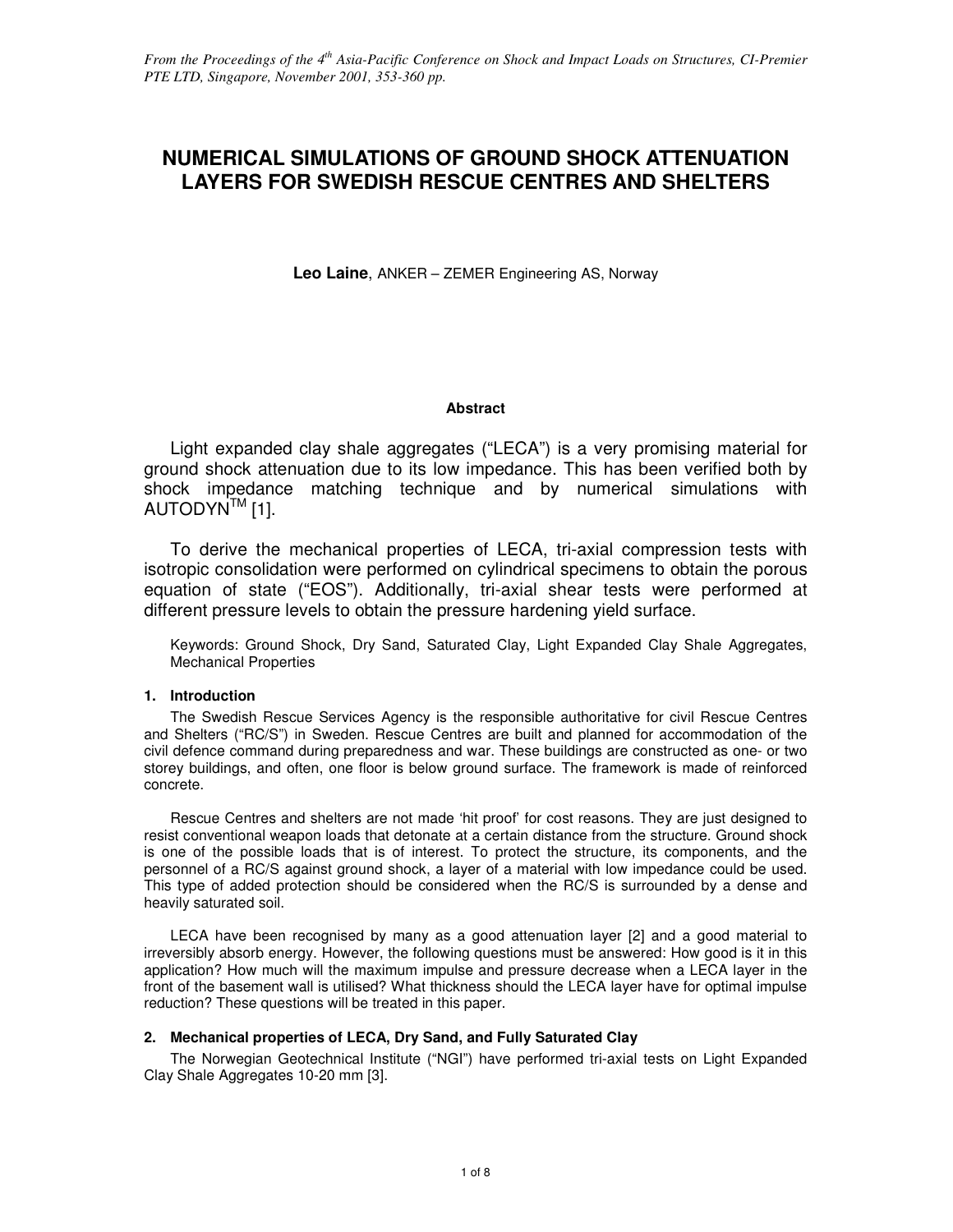# **NUMERICAL SIMULATIONS OF GROUND SHOCK ATTENUATION LAYERS FOR SWEDISH RESCUE CENTRES AND SHELTERS**

**Leo Laine**, ANKER – ZEMER Engineering AS, Norway

# **Abstract**

 Light expanded clay shale aggregates ("LECA") is a very promising material for ground shock attenuation due to its low impedance. This has been verified both by shock impedance matching technique and by numerical simulations with AUTODYN<sup>™</sup> [1].

 To derive the mechanical properties of LECA, tri-axial compression tests with isotropic consolidation were performed on cylindrical specimens to obtain the porous equation of state ("EOS"). Additionally, tri-axial shear tests were performed at different pressure levels to obtain the pressure hardening yield surface.

Keywords: Ground Shock, Dry Sand, Saturated Clay, Light Expanded Clay Shale Aggregates, Mechanical Properties

# **1. Introduction**

 The Swedish Rescue Services Agency is the responsible authoritative for civil Rescue Centres and Shelters ("RC/S") in Sweden. Rescue Centres are built and planned for accommodation of the civil defence command during preparedness and war. These buildings are constructed as one- or two storey buildings, and often, one floor is below ground surface. The framework is made of reinforced concrete.

 Rescue Centres and shelters are not made 'hit proof' for cost reasons. They are just designed to resist conventional weapon loads that detonate at a certain distance from the structure. Ground shock is one of the possible loads that is of interest. To protect the structure, its components, and the personnel of a RC/S against ground shock, a layer of a material with low impedance could be used. This type of added protection should be considered when the RC/S is surrounded by a dense and heavily saturated soil.

 LECA have been recognised by many as a good attenuation layer [2] and a good material to irreversibly absorb energy. However, the following questions must be answered: How good is it in this application? How much will the maximum impulse and pressure decrease when a LECA layer in the front of the basement wall is utilised? What thickness should the LECA layer have for optimal impulse reduction? These questions will be treated in this paper.

# **2. Mechanical properties of LECA, Dry Sand, and Fully Saturated Clay**

 The Norwegian Geotechnical Institute ("NGI") have performed tri-axial tests on Light Expanded Clay Shale Aggregates 10-20 mm [3].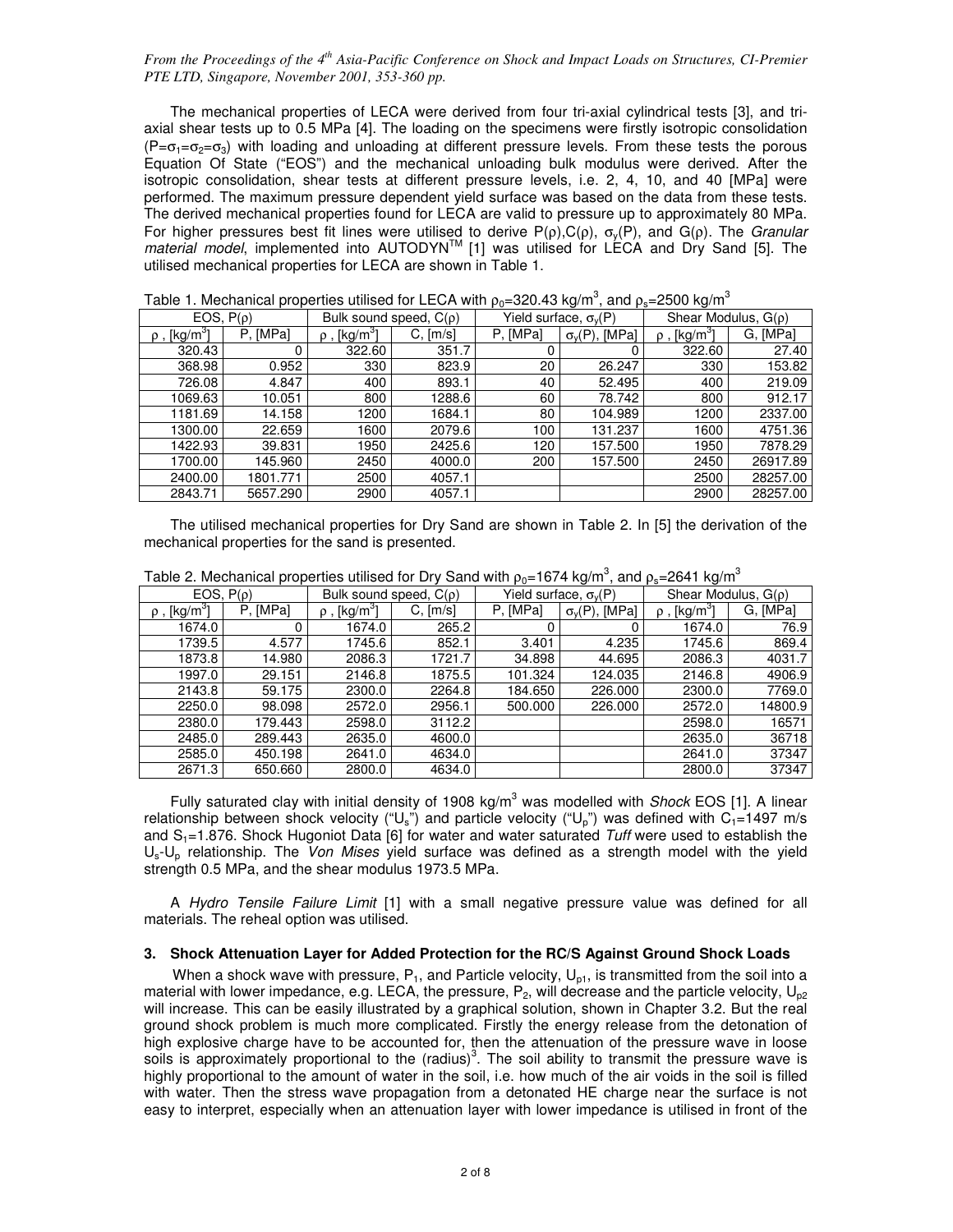The mechanical properties of LECA were derived from four tri-axial cylindrical tests [3], and triaxial shear tests up to 0.5 MPa [4]. The loading on the specimens were firstly isotropic consolidation  $(P=\sigma_1=\sigma_2=\sigma_3)$  with loading and unloading at different pressure levels. From these tests the porous Equation Of State ("EOS") and the mechanical unloading bulk modulus were derived. After the isotropic consolidation, shear tests at different pressure levels, i.e. 2, 4, 10, and 40 [MPa] were performed. The maximum pressure dependent yield surface was based on the data from these tests. The derived mechanical properties found for LECA are valid to pressure up to approximately 80 MPa. For higher pressures best fit lines were utilised to derive P(ρ),C(ρ),  $\sigma_y(P)$ , and G(ρ). The *Granular* material model, implemented into AUTODYN<sup>™</sup> [1] was utilised for LECA and Dry Sand [5]. The utilised mechanical properties for LECA are shown in Table 1.

| EOS, $P(\rho)$           |          | Bulk sound speed, $C(\rho)$ |          |          | Yield surface, $\sigma_{\rm V}(P)$ | Shear Modulus, $G(\rho)$      |          |  |  |
|--------------------------|----------|-----------------------------|----------|----------|------------------------------------|-------------------------------|----------|--|--|
| ρ , [kg/m <sup>3</sup> ] | P, [MPa] | $\rho$ , [kg/m $^3$ ]       | C, [m/s] | P, [MPa] | $\sigma_v(P)$ , [MPa]              | $\rho$ , [kg/m <sup>3</sup> ] | G. [MPa] |  |  |
| 320.43                   |          | 322.60                      | 351.7    |          |                                    | 322.60                        | 27.40    |  |  |
| 368.98                   | 0.952    | 330                         | 823.9    | 20       | 26.247                             | 330                           | 153.82   |  |  |
| 726.08                   | 4.847    | 400                         | 893.1    | 40       | 52.495                             | 400                           | 219.09   |  |  |
| 1069.63                  | 10.051   | 800                         | 1288.6   | 60       | 78.742                             | 800                           | 912.17   |  |  |
| 1181.69                  | 14.158   | 1200                        | 1684.1   | 80       | 104.989                            | 1200                          | 2337.00  |  |  |
| 1300.00                  | 22.659   | 1600                        | 2079.6   | 100      | 131.237                            | 1600                          | 4751.36  |  |  |
| 1422.93                  | 39.831   | 1950                        | 2425.6   | 120      | 157.500                            | 1950                          | 7878.29  |  |  |
| 1700.00                  | 145.960  | 2450                        | 4000.0   | 200      | 157.500                            | 2450                          | 26917.89 |  |  |
| 2400.00                  | 1801.771 | 2500                        | 4057.1   |          |                                    | 2500                          | 28257.00 |  |  |
| 2843.71                  | 5657.290 | 2900                        | 4057.1   |          |                                    | 2900                          | 28257.00 |  |  |

Table 1. Mechanical properties utilised for LECA with  $\rho_0$ =320.43 kg/m<sup>3</sup>, and  $\rho_s$ =2500 kg/m<sup>3</sup>

 The utilised mechanical properties for Dry Sand are shown in Table 2. In [5] the derivation of the mechanical properties for the sand is presented.

|  | Table 2. Mechanical properties utilised for Dry Sand with $\rho_0 = 1674$ kg/m <sup>3</sup> , and $\rho_s = 2641$ kg/m <sup>3</sup> |  |
|--|-------------------------------------------------------------------------------------------------------------------------------------|--|
|  |                                                                                                                                     |  |

| EOS, $P(\rho)$           |          | Bulk sound speed, $C(\rho)$         |        | Yield surface, $\sigma_v(P)$ |                       | ا ت<br>Shear Modulus, $G(\rho)$ |          |
|--------------------------|----------|-------------------------------------|--------|------------------------------|-----------------------|---------------------------------|----------|
| ρ , [kg/m <sup>3</sup> ] | P. [MPa] | $\rho$ , [kg/m $^3$ ]<br>$C.$ [m/s] |        | P. [MPa]                     | $\sigma_v(P)$ , [MPa] |                                 | G. [MPa] |
| 1674.0                   |          | 1674.0                              | 265.2  |                              |                       | 1674.0                          | 76.9     |
| 1739.5                   | 4.577    | 1745.6                              | 852.1  | 3.401                        | 4.235                 | 1745.6                          | 869.4    |
| 1873.8                   | 14.980   | 2086.3                              | 1721.7 | 34.898                       | 44.695                | 2086.3                          | 4031.7   |
| 1997.0                   | 29.151   | 2146.8                              | 1875.5 | 101.324                      | 124.035               | 2146.8                          | 4906.9   |
| 2143.8                   | 59.175   | 2300.0                              | 2264.8 | 184.650                      | 226,000               | 2300.0                          | 7769.0   |
| 2250.0                   | 98.098   | 2572.0                              | 2956.1 | 500.000                      | 226.000               | 2572.0                          | 14800.9  |
| 2380.0                   | 179.443  | 2598.0                              | 3112.2 |                              |                       | 2598.0                          | 16571    |
| 2485.0                   | 289.443  | 2635.0                              | 4600.0 |                              |                       | 2635.0                          | 36718    |
| 2585.0                   | 450.198  | 2641.0                              | 4634.0 |                              |                       | 2641.0                          | 37347    |
| 2671.3                   | 650.660  | 2800.0                              | 4634.0 |                              |                       | 2800.0                          | 37347    |

Fully saturated clay with initial density of 1908 kg/m<sup>3</sup> was modelled with Shock EOS [1]. A linear relationship between shock velocity ("U<sub>s</sub>") and particle velocity ("U<sub>p</sub>") was defined with C<sub>1</sub>=1497 m/s and  $S_1$ =1.876. Shock Hugoniot Data [6] for water and water saturated Tuff were used to establish the  $U_s-U_p$  relationship. The *Von Mises* yield surface was defined as a strength model with the yield strength 0.5 MPa, and the shear modulus 1973.5 MPa.

 A Hydro Tensile Failure Limit [1] with a small negative pressure value was defined for all materials. The reheal option was utilised.

#### **3. Shock Attenuation Layer for Added Protection for the RC/S Against Ground Shock Loads**

When a shock wave with pressure,  $P_1$ , and Particle velocity,  $U_{p1}$ , is transmitted from the soil into a material with lower impedance, e.g. LECA, the pressure,  $P_2$ , will decrease and the particle velocity,  $U_{p2}$ will increase. This can be easily illustrated by a graphical solution, shown in Chapter 3.2. But the real ground shock problem is much more complicated. Firstly the energy release from the detonation of high explosive charge have to be accounted for, then the attenuation of the pressure wave in loose soils is approximately proportional to the (radius)<sup>3</sup>. The soil ability to transmit the pressure wave is highly proportional to the amount of water in the soil, i.e. how much of the air voids in the soil is filled with water. Then the stress wave propagation from a detonated HE charge near the surface is not easy to interpret, especially when an attenuation layer with lower impedance is utilised in front of the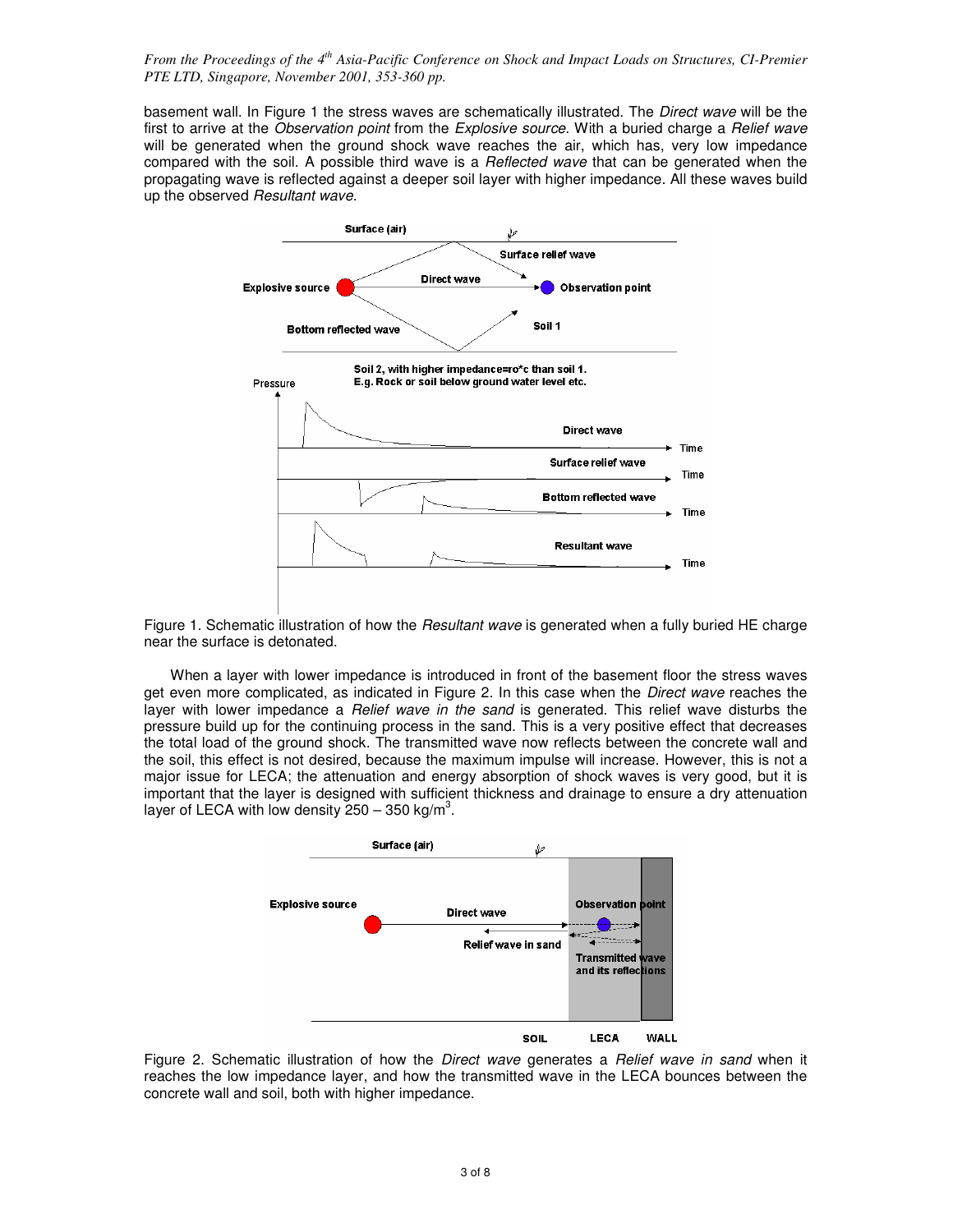basement wall. In Figure 1 the stress waves are schematically illustrated. The Direct wave will be the first to arrive at the Observation point from the Explosive source. With a buried charge a Relief wave will be generated when the ground shock wave reaches the air, which has, very low impedance compared with the soil. A possible third wave is a Reflected wave that can be generated when the propagating wave is reflected against a deeper soil layer with higher impedance. All these waves build up the observed Resultant wave.



Figure 1. Schematic illustration of how the Resultant wave is generated when a fully buried HE charge near the surface is detonated.

 When a layer with lower impedance is introduced in front of the basement floor the stress waves get even more complicated, as indicated in Figure 2. In this case when the Direct wave reaches the layer with lower impedance a *Relief wave in the sand* is generated. This relief wave disturbs the pressure build up for the continuing process in the sand. This is a very positive effect that decreases the total load of the ground shock. The transmitted wave now reflects between the concrete wall and the soil, this effect is not desired, because the maximum impulse will increase. However, this is not a major issue for LECA; the attenuation and energy absorption of shock waves is very good, but it is important that the layer is designed with sufficient thickness and drainage to ensure a dry attenuation layer of LECA with low density  $250 - 350$  kg/m<sup>3</sup>.



Figure 2. Schematic illustration of how the *Direct wave* generates a *Relief wave in sand* when it reaches the low impedance layer, and how the transmitted wave in the LECA bounces between the concrete wall and soil, both with higher impedance.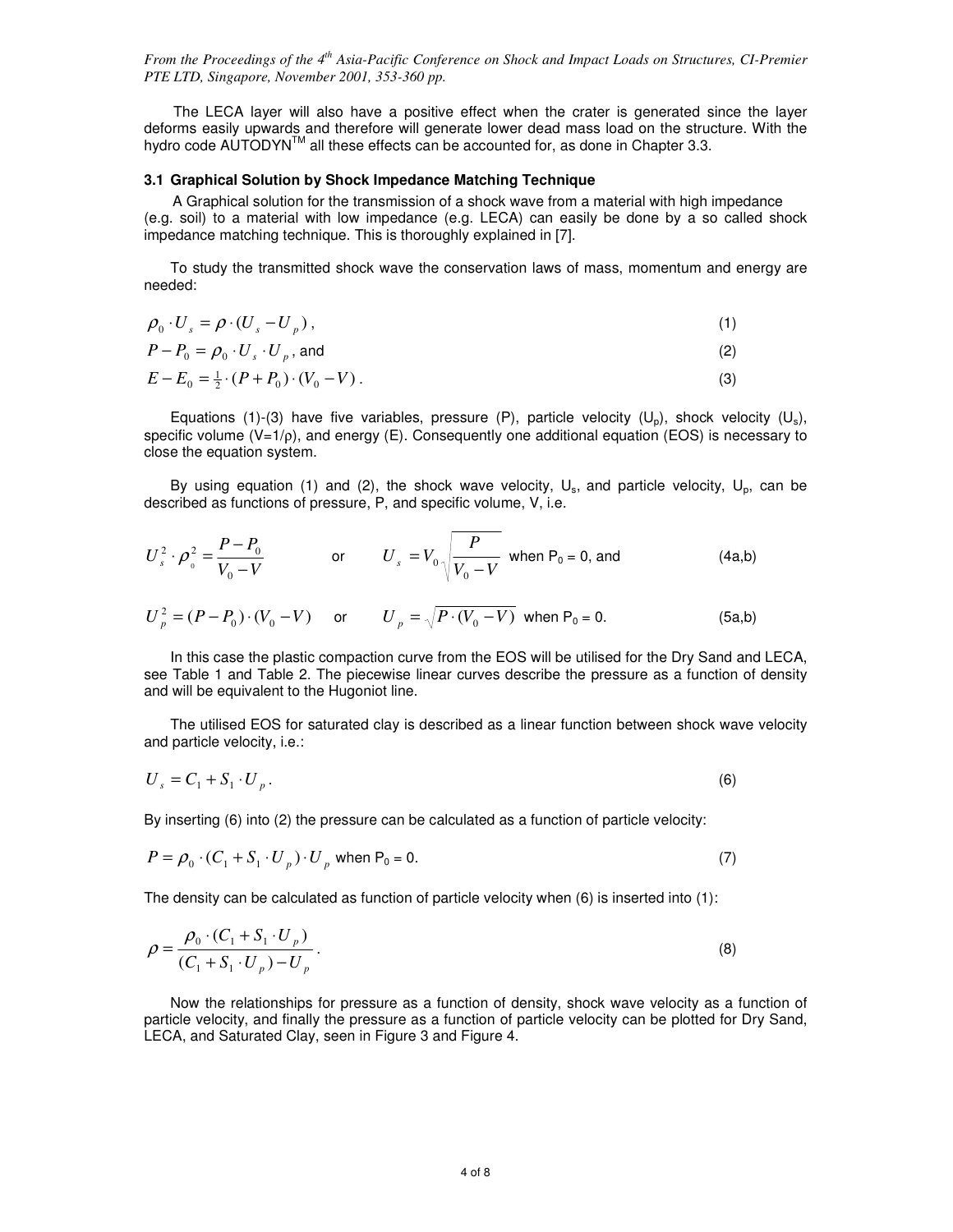The LECA layer will also have a positive effect when the crater is generated since the layer deforms easily upwards and therefore will generate lower dead mass load on the structure. With the hydro code AUTODYN™ all these effects can be accounted for, as done in Chapter 3.3.

#### **3.1 Graphical Solution by Shock Impedance Matching Technique**

A Graphical solution for the transmission of a shock wave from a material with high impedance (e.g. soil) to a material with low impedance (e.g. LECA) can easily be done by a so called shock impedance matching technique. This is thoroughly explained in [7].

 To study the transmitted shock wave the conservation laws of mass, momentum and energy are needed:

| $\rho_0 \cdot U_s = \rho \cdot (U_s - U_p)$ , |     |
|-----------------------------------------------|-----|
| $P-P_0=\rho_{0}\cdot U_{s}\cdot U_{p}$ , and  |     |
| $E-E_0=\frac{1}{2}\cdot(P+P_0)\cdot(V_0-V)$ . | (3) |

Equations (1)-(3) have five variables, pressure (P), particle velocity (U<sub>p</sub>), shock velocity (U<sub>s</sub>), specific volume (V=1/ρ), and energy (E). Consequently one additional equation (EOS) is necessary to close the equation system.

By using equation (1) and (2), the shock wave velocity,  $U_s$ , and particle velocity,  $U_p$ , can be described as functions of pressure, P, and specific volume, V, i.e.

$$
U_s^2 \cdot \rho_0^2 = \frac{P - P_0}{V_0 - V} \qquad \text{or} \qquad U_s = V_0 \sqrt{\frac{P}{V_0 - V}} \text{ when } P_0 = 0 \text{, and} \tag{4a,b}
$$

$$
U_p^2 = (P - P_0) \cdot (V_0 - V) \quad \text{or} \quad U_p = \sqrt{P \cdot (V_0 - V)} \text{ when } P_0 = 0. \tag{5a,b}
$$

 In this case the plastic compaction curve from the EOS will be utilised for the Dry Sand and LECA, see Table 1 and Table 2. The piecewise linear curves describe the pressure as a function of density and will be equivalent to the Hugoniot line.

 The utilised EOS for saturated clay is described as a linear function between shock wave velocity and particle velocity, i.e.:

$$
U_s = C_1 + S_1 \cdot U_p. \tag{6}
$$

By inserting (6) into (2) the pressure can be calculated as a function of particle velocity:

$$
P = \rho_0 \cdot (C_1 + S_1 \cdot U_p) \cdot U_p \text{ when } P_0 = 0. \tag{7}
$$

The density can be calculated as function of particle velocity when  $(6)$  is inserted into  $(1)$ :

$$
\rho = \frac{\rho_0 \cdot (C_1 + S_1 \cdot U_p)}{(C_1 + S_1 \cdot U_p) - U_p}.
$$
\n(8)

 Now the relationships for pressure as a function of density, shock wave velocity as a function of particle velocity, and finally the pressure as a function of particle velocity can be plotted for Dry Sand, LECA, and Saturated Clay, seen in Figure 3 and Figure 4.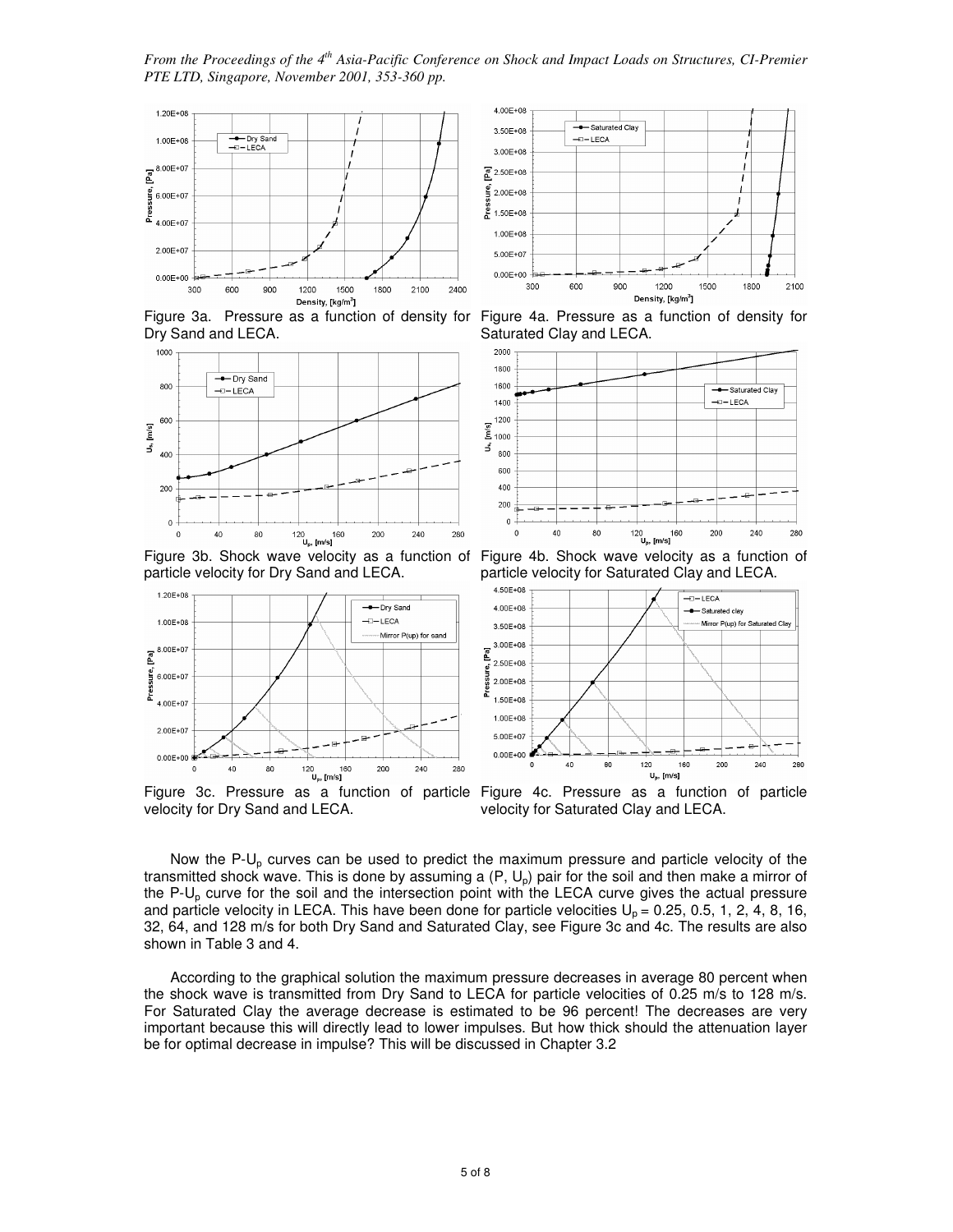*From the Proceedings of the 4th Asia-Pacific Conference on Shock and Impact Loads on Structures, CI-Premier PTE LTD, Singapore, November 2001, 353-360 pp.* 



Dry Sand and LECA.



particle velocity for Dry Sand and LECA.



Figure 3c. Pressure as a function of particle Figure 4c. Pressure as a function of particle velocity for Dry Sand and LECA.



Figure 3a. Pressure as a function of density for Figure 4a. Pressure as a function of density for Saturated Clay and LECA.



Figure 3b. Shock wave velocity as a function of Figure 4b. Shock wave velocity as a function of particle velocity for Saturated Clay and LECA.



velocity for Saturated Clay and LECA.

Now the  $P-U<sub>p</sub>$  curves can be used to predict the maximum pressure and particle velocity of the transmitted shock wave. This is done by assuming a  $(P, U_p)$  pair for the soil and then make a mirror of the  $P-U<sub>o</sub>$  curve for the soil and the intersection point with the LECA curve gives the actual pressure and particle velocity in LECA. This have been done for particle velocities  $U_0 = 0.25, 0.5, 1, 2, 4, 8, 16$ , 32, 64, and 128 m/s for both Dry Sand and Saturated Clay, see Figure 3c and 4c. The results are also shown in Table 3 and 4.

 According to the graphical solution the maximum pressure decreases in average 80 percent when the shock wave is transmitted from Dry Sand to LECA for particle velocities of 0.25 m/s to 128 m/s. For Saturated Clay the average decrease is estimated to be 96 percent! The decreases are very important because this will directly lead to lower impulses. But how thick should the attenuation layer be for optimal decrease in impulse? This will be discussed in Chapter 3.2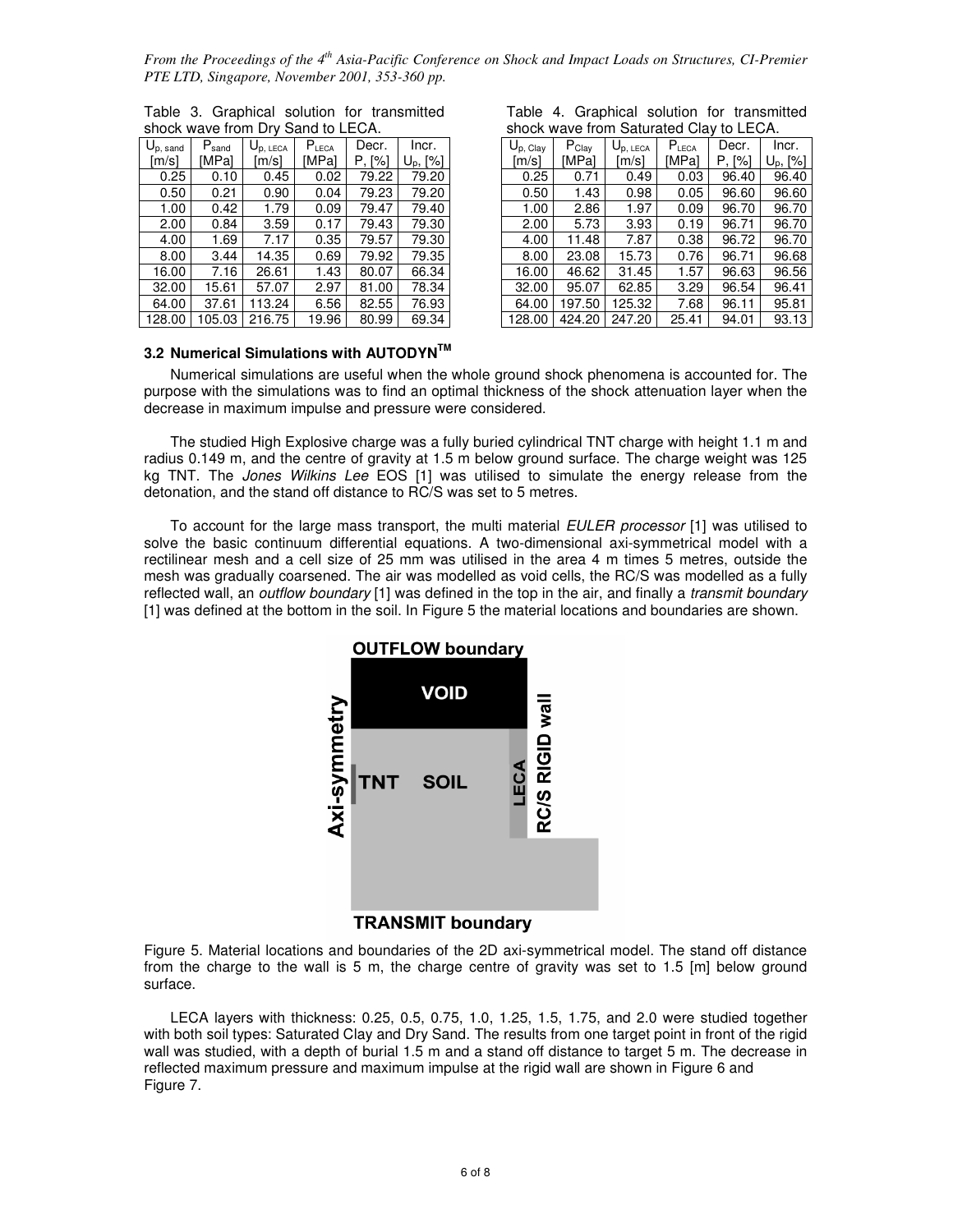| $U_{p, \text{ sand}}$ | $P_{\text{sand}}$ | $\mathsf{U}_{\mathsf{p},\;\mathsf{LECA}}$ | $P_{LECA}$ | Decr.  | Incr.       |  |  |  |  |  |  |
|-----------------------|-------------------|-------------------------------------------|------------|--------|-------------|--|--|--|--|--|--|
| [m/s]                 | [MPa]             | [m/s]                                     | [MPa]      | P. [%] | $U_p$ , [%] |  |  |  |  |  |  |
| 0.25                  | 0.10              | 0.45                                      | 0.02       | 79.22  | 79.20       |  |  |  |  |  |  |
| 0.50                  | 0.21              | 0.90                                      | 0.04       | 79.23  | 79.20       |  |  |  |  |  |  |
| 1.00                  | 0.42              | 1.79                                      | 0.09       | 79.47  | 79.40       |  |  |  |  |  |  |
| 2.00                  | 0.84              | 3.59                                      | 0.17       | 79.43  | 79.30       |  |  |  |  |  |  |
| 4.00                  | 1.69              | 7.17                                      | 0.35       | 79.57  | 79.30       |  |  |  |  |  |  |
| 8.00                  | 3.44              | 14.35                                     | 0.69       | 79.92  | 79.35       |  |  |  |  |  |  |
| 16.00                 | 7.16              | 26.61                                     | 1.43       | 80.07  | 66.34       |  |  |  |  |  |  |
| 32.00                 | 15.61             | 57.07                                     | 2.97       | 81.00  | 78.34       |  |  |  |  |  |  |
| 64.00                 | 37.61             | 113.24                                    | 6.56       | 82.55  | 76.93       |  |  |  |  |  |  |
| 128 በበ                | 105 03            | 216 75                                    | 19.96      | 80.99  | 69.34       |  |  |  |  |  |  |

|  |                                   |  | Table 3. Graphical solution for transmitted |
|--|-----------------------------------|--|---------------------------------------------|
|  | shock wave from Dry Sand to LECA. |  |                                             |

|  |                                         |  | Table 4. Graphical solution for transmitted |
|--|-----------------------------------------|--|---------------------------------------------|
|  | shock wave from Saturated Clay to LECA. |  |                                             |

|                            | ----              |              |            |                           |                          |  |                       |            |                      | $- \cdot - \cdot$ |        |                      |
|----------------------------|-------------------|--------------|------------|---------------------------|--------------------------|--|-----------------------|------------|----------------------|-------------------|--------|----------------------|
| $\bigcup_{p,\text{ sand}}$ | $P_{\text{sand}}$ | $U_{p,LECA}$ | $P_{LECA}$ | Decr.                     | Incr.                    |  | $U_{p, \text{ Clay}}$ | $P_{Clay}$ | $U_{\text{p, LECA}}$ | $P_{LECA}$        | Decr.  | Incr.                |
| [m/s]                      | <b>IMPal</b>      | [m/s]        | [MPa]      | $\lceil\% \rceil$<br>Р. І | $\lceil\% \rceil$<br>Up, |  | [m/s]                 | [MPal      | [m/s]                | [MPal             | P. [%] | U <sub>p</sub> , [%] |
| 0.25                       | 0.10              | 0.45         | 0.02       | 79.22                     | 79.20                    |  | 0.25                  | 0.71       | 0.49                 | 0.03              | 96.40  | 96.40                |
| 0.50                       | 0.21              | 0.90         | 0.04       | 79.23                     | 79.20                    |  | 0.50                  | 1.43       | 0.98                 | 0.05              | 96.60  | 96.60                |
| 1.00                       | 0.42              | 1.79         | 0.09       | 79.47                     | 79.40                    |  | 1.00                  | 2.86       | 1.97                 | 0.09              | 96.70  | 96.70                |
| 2.00                       | 0.84              | 3.59         | 0.17       | 79.43                     | 79.30                    |  | 2.00                  | 5.73       | 3.93                 | 0.19              | 96.71  | 96.70                |
| 4.00                       | 1.69              | 7.17         | 0.35       | 79.57                     | 79.30                    |  | 4.00                  | 11.48      | 7.87                 | 0.38              | 96.72  | 96.70                |
| 8.00                       | 3.44              | 14.35        | 0.69       | 79.92                     | 79.35                    |  | 8.00                  | 23.08      | 15.73                | 0.76              | 96.71  | 96.68                |
| 16.00                      | 7.16              | 26.61        | 1.43       | 80.07                     | 66.34                    |  | 16.00                 | 46.62      | 31.45                | 1.57              | 96.63  | 96.56                |
| 32.00                      | 15.61             | 57.07        | 2.97       | 81.00                     | 78.34                    |  | 32.00                 | 95.07      | 62.85                | 3.29              | 96.54  | 96.41                |
| 64.00                      | 37.61             | 113.24       | 6.56       | 82.55                     | 76.93                    |  | 64.00                 | 197.50     | 125.32               | 7.68              | 96.11  | 95.81                |
| 128.00                     | 105.03            | 216.75       | 19.96      | 80.99                     | 69.34                    |  | 128.00                | 424.20     | 247.20               | 25.41             | 94.01  | 93.13                |

# **3.2 Numerical Simulations with AUTODYNTM**

 Numerical simulations are useful when the whole ground shock phenomena is accounted for. The purpose with the simulations was to find an optimal thickness of the shock attenuation layer when the decrease in maximum impulse and pressure were considered.

 The studied High Explosive charge was a fully buried cylindrical TNT charge with height 1.1 m and radius 0.149 m, and the centre of gravity at 1.5 m below ground surface. The charge weight was 125 kg TNT. The Jones Wilkins Lee EOS [1] was utilised to simulate the energy release from the detonation, and the stand off distance to RC/S was set to 5 metres.

To account for the large mass transport, the multi material EULER processor [1] was utilised to solve the basic continuum differential equations. A two-dimensional axi-symmetrical model with a rectilinear mesh and a cell size of 25 mm was utilised in the area 4 m times 5 metres, outside the mesh was gradually coarsened. The air was modelled as void cells, the RC/S was modelled as a fully reflected wall, an outflow boundary [1] was defined in the top in the air, and finally a transmit boundary [1] was defined at the bottom in the soil. In Figure 5 the material locations and boundaries are shown.



**TRANSMIT boundary** 

Figure 5. Material locations and boundaries of the 2D axi-symmetrical model. The stand off distance from the charge to the wall is 5 m, the charge centre of gravity was set to 1.5 [m] below ground surface.

 LECA layers with thickness: 0.25, 0.5, 0.75, 1.0, 1.25, 1.5, 1.75, and 2.0 were studied together with both soil types: Saturated Clay and Dry Sand. The results from one target point in front of the rigid wall was studied, with a depth of burial 1.5 m and a stand off distance to target 5 m. The decrease in reflected maximum pressure and maximum impulse at the rigid wall are shown in Figure 6 and Figure 7.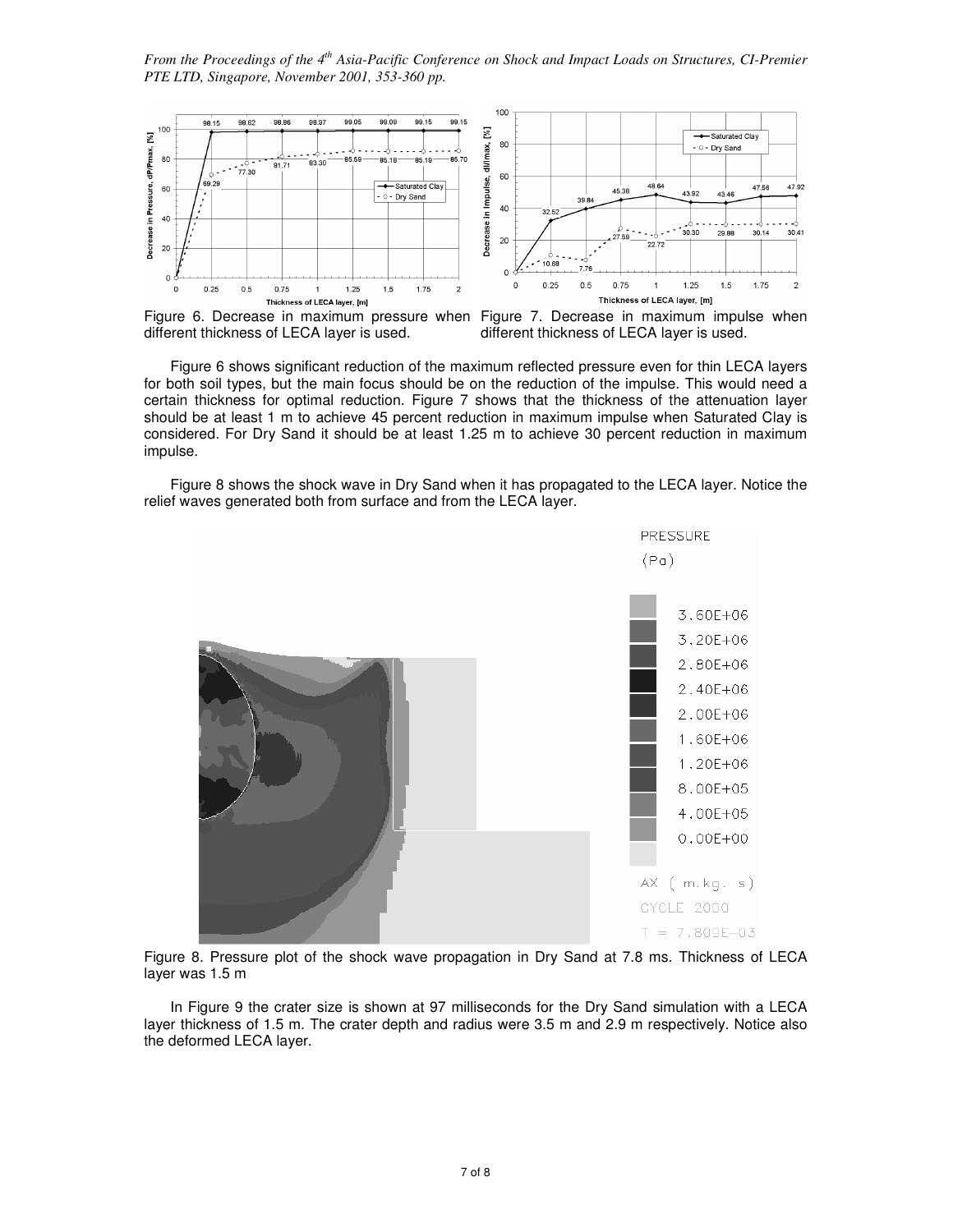

different thickness of LECA layer is used.



 Figure 6 shows significant reduction of the maximum reflected pressure even for thin LECA layers for both soil types, but the main focus should be on the reduction of the impulse. This would need a certain thickness for optimal reduction. Figure 7 shows that the thickness of the attenuation layer should be at least 1 m to achieve 45 percent reduction in maximum impulse when Saturated Clay is considered. For Dry Sand it should be at least 1.25 m to achieve 30 percent reduction in maximum impulse.

 Figure 8 shows the shock wave in Dry Sand when it has propagated to the LECA layer. Notice the relief waves generated both from surface and from the LECA layer.



Figure 8. Pressure plot of the shock wave propagation in Dry Sand at 7.8 ms. Thickness of LECA layer was 1.5 m

 In Figure 9 the crater size is shown at 97 milliseconds for the Dry Sand simulation with a LECA layer thickness of 1.5 m. The crater depth and radius were 3.5 m and 2.9 m respectively. Notice also the deformed LECA layer.